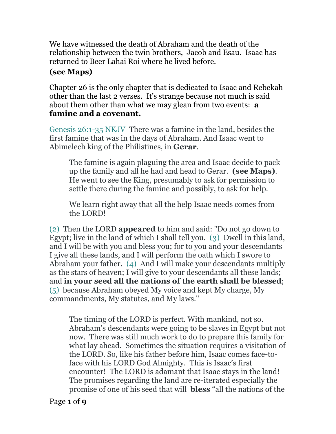We have witnessed the death of Abraham and the death of the relationship between the twin brothers, Jacob and Esau. Isaac has returned to Beer Lahai Roi where he lived before.

## **(see Maps)**

Chapter 26 is the only chapter that is dedicated to Isaac and Rebekah other than the last 2 verses. It's strange because not much is said about them other than what we may glean from two events: **a famine and a covenant.** 

Genesis 26:1-35 NKJV There was a famine in the land, besides the first famine that was in the days of Abraham. And Isaac went to Abimelech king of the Philistines, in **Gerar**.

The famine is again plaguing the area and Isaac decide to pack up the family and all he had and head to Gerar. **(see Maps)**. He went to see the King, presumably to ask for permission to settle there during the famine and possibly, to ask for help.

We learn right away that all the help Isaac needs comes from the LORD!

(2) Then the LORD **appeared** to him and said: "Do not go down to Egypt; live in the land of which I shall tell you. (3) Dwell in this land, and I will be with you and bless you; for to you and your descendants I give all these lands, and I will perform the oath which I swore to Abraham your father. (4) And I will make your descendants multiply as the stars of heaven; I will give to your descendants all these lands; and **in your seed all the nations of the earth shall be blessed**; (5) because Abraham obeyed My voice and kept My charge, My commandments, My statutes, and My laws."

The timing of the LORD is perfect. With mankind, not so. Abraham's descendants were going to be slaves in Egypt but not now. There was still much work to do to prepare this family for what lay ahead. Sometimes the situation requires a visitation of the LORD. So, like his father before him, Isaac comes face-toface with his LORD God Almighty. This is Isaac's first encounter! The LORD is adamant that Isaac stays in the land! The promises regarding the land are re-iterated especially the promise of one of his seed that will **bless** "all the nations of the

Page **1** of **9**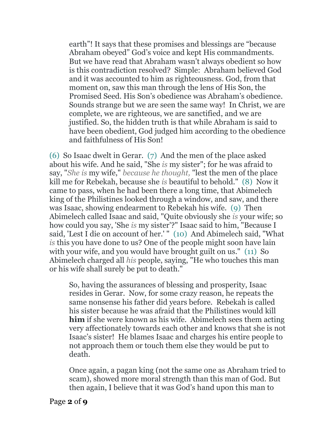earth"! It says that these promises and blessings are "because Abraham obeyed" God's voice and kept His commandments. But we have read that Abraham wasn't always obedient so how is this contradiction resolved? Simple: Abraham believed God and it was accounted to him as righteousness. God, from that moment on, saw this man through the lens of His Son, the Promised Seed. His Son's obedience was Abraham's obedience. Sounds strange but we are seen the same way! In Christ, we are complete, we are righteous, we are sanctified, and we are justified. So, the hidden truth is that while Abraham is said to have been obedient, God judged him according to the obedience and faithfulness of His Son!

(6) So Isaac dwelt in Gerar. (7) And the men of the place asked about his wife. And he said, "She *is* my sister"; for he was afraid to say, "*She is* my wife," *because he thought,* "lest the men of the place kill me for Rebekah, because she *is* beautiful to behold." (8) Now it came to pass, when he had been there a long time, that Abimelech king of the Philistines looked through a window, and saw, and there was Isaac, showing endearment to Rebekah his wife. (9) Then Abimelech called Isaac and said, "Quite obviously she *is* your wife; so how could you say, 'She *is* my sister'?" Isaac said to him, "Because I said, 'Lest I die on account of her.' " (10) And Abimelech said, "What *is* this you have done to us? One of the people might soon have lain with your wife, and you would have brought guilt on us." (11) So Abimelech charged all *his* people, saying, "He who touches this man or his wife shall surely be put to death."

So, having the assurances of blessing and prosperity, Isaac resides in Gerar. Now, for some crazy reason, he repeats the same nonsense his father did years before. Rebekah is called his sister because he was afraid that the Philistines would kill **him** if she were known as his wife. Abimelech sees them acting very affectionately towards each other and knows that she is not Isaac's sister! He blames Isaac and charges his entire people to not approach them or touch them else they would be put to death.

Once again, a pagan king (not the same one as Abraham tried to scam), showed more moral strength than this man of God. But then again, I believe that it was God's hand upon this man to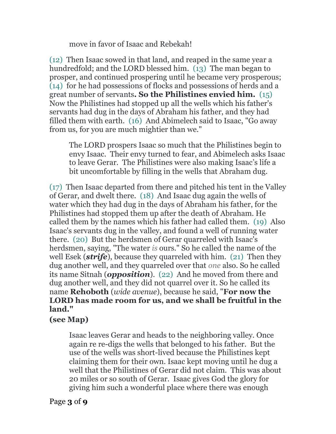move in favor of Isaac and Rebekah!

(12) Then Isaac sowed in that land, and reaped in the same year a hundredfold; and the LORD blessed him. (13) The man began to prosper, and continued prospering until he became very prosperous; (14) for he had possessions of flocks and possessions of herds and a great number of servants**. So the Philistines envied him.** (15) Now the Philistines had stopped up all the wells which his father's servants had dug in the days of Abraham his father, and they had filled them with earth. (16) And Abimelech said to Isaac, "Go away from us, for you are much mightier than we."

The LORD prospers Isaac so much that the Philistines begin to envy Isaac. Their envy turned to fear, and Abimelech asks Isaac to leave Gerar. The Philistines were also making Isaac's life a bit uncomfortable by filling in the wells that Abraham dug.

(17) Then Isaac departed from there and pitched his tent in the Valley of Gerar, and dwelt there. (18) And Isaac dug again the wells of water which they had dug in the days of Abraham his father, for the Philistines had stopped them up after the death of Abraham. He called them by the names which his father had called them. (19) Also Isaac's servants dug in the valley, and found a well of running water there. (20) But the herdsmen of Gerar quarreled with Isaac's herdsmen, saying, "The water *is* ours." So he called the name of the well Esek (*strife*), because they quarreled with him. (21) Then they dug another well, and they quarreled over that *one* also. So he called its name Sitnah (*opposition*). (22) And he moved from there and dug another well, and they did not quarrel over it. So he called its name **Rehoboth** (*wide avenue*), because he said, "**For now the LORD has made room for us, and we shall be fruitful in the land."** 

## **(see Map)**

Isaac leaves Gerar and heads to the neighboring valley. Once again re re-digs the wells that belonged to his father. But the use of the wells was short-lived because the Philistines kept claiming them for their own. Isaac kept moving until he dug a well that the Philistines of Gerar did not claim. This was about 20 miles or so south of Gerar. Isaac gives God the glory for giving him such a wonderful place where there was enough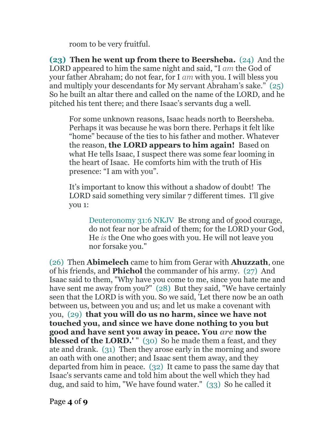room to be very fruitful.

**(23) Then he went up from there to Beersheba.** (24) And the LORD appeared to him the same night and said, "I *am* the God of your father Abraham; do not fear, for I *am* with you. I will bless you and multiply your descendants for My servant Abraham's sake." (25) So he built an altar there and called on the name of the LORD, and he pitched his tent there; and there Isaac's servants dug a well.

For some unknown reasons, Isaac heads north to Beersheba. Perhaps it was because he was born there. Perhaps it felt like "home" because of the ties to his father and mother. Whatever the reason, **the LORD appears to him again!** Based on what He tells Isaac, I suspect there was some fear looming in the heart of Isaac. He comforts him with the truth of His presence: "I am with you".

It's important to know this without a shadow of doubt! The LORD said something very similar 7 different times. I'll give you 1:

Deuteronomy 31:6 NKJV Be strong and of good courage, do not fear nor be afraid of them; for the LORD your God, He *is* the One who goes with you. He will not leave you nor forsake you."

(26) Then **Abimelech** came to him from Gerar with **Ahuzzath**, one of his friends, and **Phichol** the commander of his army. (27) And Isaac said to them, "Why have you come to me, since you hate me and have sent me away from you?" (28) But they said, "We have certainly seen that the LORD is with you. So we said, 'Let there now be an oath between us, between you and us; and let us make a covenant with you, (29) **that you will do us no harm, since we have not touched you, and since we have done nothing to you but good and have sent you away in peace. You** *are* **now the blessed of the LORD.'** " (30) So he made them a feast, and they ate and drank. (31) Then they arose early in the morning and swore an oath with one another; and Isaac sent them away, and they departed from him in peace. (32) It came to pass the same day that Isaac's servants came and told him about the well which they had dug, and said to him, "We have found water." (33) So he called it

Page **4** of **9**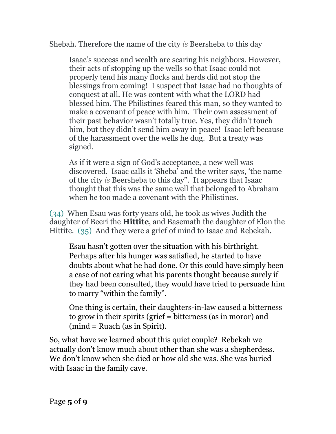## Shebah. Therefore the name of the city *is* Beersheba to this day

Isaac's success and wealth are scaring his neighbors. However, their acts of stopping up the wells so that Isaac could not properly tend his many flocks and herds did not stop the blessings from coming! I suspect that Isaac had no thoughts of conquest at all. He was content with what the LORD had blessed him. The Philistines feared this man, so they wanted to make a covenant of peace with him. Their own assessment of their past behavior wasn't totally true. Yes, they didn't touch him, but they didn't send him away in peace! Isaac left because of the harassment over the wells he dug. But a treaty was signed.

As if it were a sign of God's acceptance, a new well was discovered. Isaac calls it 'Sheba' and the writer says, 'the name of the city *is* Beersheba to this day". It appears that Isaac thought that this was the same well that belonged to Abraham when he too made a covenant with the Philistines.

(34) When Esau was forty years old, he took as wives Judith the daughter of Beeri the **Hittite**, and Basemath the daughter of Elon the Hittite. (35) And they were a grief of mind to Isaac and Rebekah.

Esau hasn't gotten over the situation with his birthright. Perhaps after his hunger was satisfied, he started to have doubts about what he had done. Or this could have simply been a case of not caring what his parents thought because surely if they had been consulted, they would have tried to persuade him to marry "within the family".

One thing is certain, their daughters-in-law caused a bitterness to grow in their spirits (grief = bitterness (as in moror) and  $(min = Ruach$  (as in Spirit).

So, what have we learned about this quiet couple? Rebekah we actually don't know much about other than she was a shepherdess. We don't know when she died or how old she was. She was buried with Isaac in the family cave.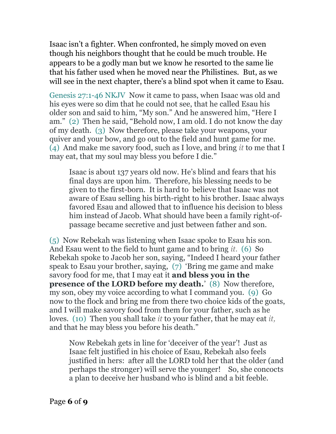Isaac isn't a fighter. When confronted, he simply moved on even though his neighbors thought that he could be much trouble. He appears to be a godly man but we know he resorted to the same lie that his father used when he moved near the Philistines. But, as we will see in the next chapter, there's a blind spot when it came to Esau.

Genesis 27:1-46 NKJV Now it came to pass, when Isaac was old and his eyes were so dim that he could not see, that he called Esau his older son and said to him, "My son." And he answered him, "Here I am." (2) Then he said, "Behold now, I am old. I do not know the day of my death. (3) Now therefore, please take your weapons, your quiver and your bow, and go out to the field and hunt game for me. (4) And make me savory food, such as I love, and bring *it* to me that I may eat, that my soul may bless you before I die."

Isaac is about 137 years old now. He's blind and fears that his final days are upon him. Therefore, his blessing needs to be given to the first-born. It is hard to believe that Isaac was not aware of Esau selling his birth-right to his brother. Isaac always favored Esau and allowed that to influence his decision to bless him instead of Jacob. What should have been a family right-ofpassage became secretive and just between father and son.

(5) Now Rebekah was listening when Isaac spoke to Esau his son. And Esau went to the field to hunt game and to bring *it.* (6) So Rebekah spoke to Jacob her son, saying, "Indeed I heard your father speak to Esau your brother, saying, (7) 'Bring me game and make savory food for me, that I may eat it **and bless you in the presence of the LORD before my death.'** (8) Now therefore, my son, obey my voice according to what I command you. (9) Go now to the flock and bring me from there two choice kids of the goats, and I will make savory food from them for your father, such as he loves. (10) Then you shall take *it* to your father, that he may eat *it,* and that he may bless you before his death."

Now Rebekah gets in line for 'deceiver of the year'! Just as Isaac felt justified in his choice of Esau, Rebekah also feels justified in hers: after all the LORD told her that the older (and perhaps the stronger) will serve the younger! So, she concocts a plan to deceive her husband who is blind and a bit feeble.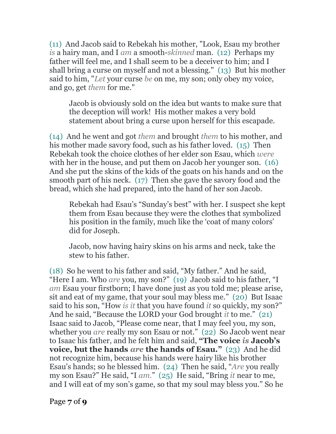(11) And Jacob said to Rebekah his mother, "Look, Esau my brother *is* a hairy man, and I *am* a smooth-*skinned* man. (12) Perhaps my father will feel me, and I shall seem to be a deceiver to him; and I shall bring a curse on myself and not a blessing." (13) But his mother said to him, "*Let* your curse *be* on me, my son; only obey my voice, and go, get *them* for me."

Jacob is obviously sold on the idea but wants to make sure that the deception will work! His mother makes a very bold statement about bring a curse upon herself for this escapade.

(14) And he went and got *them* and brought *them* to his mother, and his mother made savory food, such as his father loved. (15) Then Rebekah took the choice clothes of her elder son Esau, which *were* with her in the house, and put them on Jacob her younger son. (16) And she put the skins of the kids of the goats on his hands and on the smooth part of his neck. (17) Then she gave the savory food and the bread, which she had prepared, into the hand of her son Jacob.

Rebekah had Esau's "Sunday's best" with her. I suspect she kept them from Esau because they were the clothes that symbolized his position in the family, much like the 'coat of many colors' did for Joseph.

Jacob, now having hairy skins on his arms and neck, take the stew to his father.

(18) So he went to his father and said, "My father." And he said, "Here I am. Who *are* you, my son?" (19) Jacob said to his father, "I *am* Esau your firstborn; I have done just as you told me; please arise, sit and eat of my game, that your soul may bless me." (20) But Isaac said to his son, "How *is it* that you have found *it* so quickly, my son?" And he said, "Because the LORD your God brought *it* to me." (21) Isaac said to Jacob, "Please come near, that I may feel you, my son, whether you *are* really my son Esau or not." (22) So Jacob went near to Isaac his father, and he felt him and said, **"The voice** *is* **Jacob's voice, but the hands** *are* **the hands of Esau."** (23) And he did not recognize him, because his hands were hairy like his brother Esau's hands; so he blessed him. (24) Then he said, "*Are* you really my son Esau?" He said, "I *am.*" (25) He said, "Bring *it* near to me, and I will eat of my son's game, so that my soul may bless you." So he

Page **7** of **9**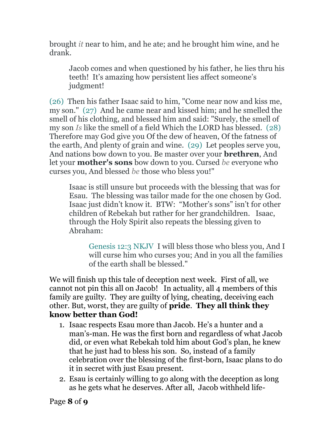brought *it* near to him, and he ate; and he brought him wine, and he drank.

Jacob comes and when questioned by his father, he lies thru his teeth! It's amazing how persistent lies affect someone's judgment!

(26) Then his father Isaac said to him, "Come near now and kiss me, my son." (27) And he came near and kissed him; and he smelled the smell of his clothing, and blessed him and said: "Surely, the smell of my son *Is* like the smell of a field Which the LORD has blessed. (28) Therefore may God give you Of the dew of heaven, Of the fatness of the earth, And plenty of grain and wine. (29) Let peoples serve you, And nations bow down to you. Be master over your **brethren**, And let your **mother's sons** bow down to you. Cursed *be* everyone who curses you, And blessed *be* those who bless you!"

Isaac is still unsure but proceeds with the blessing that was for Esau. The blessing was tailor made for the one chosen by God. Isaac just didn't know it. BTW: "Mother's sons" isn't for other children of Rebekah but rather for her grandchildren. Isaac, through the Holy Spirit also repeats the blessing given to Abraham:

Genesis 12:3 NKJV I will bless those who bless you, And I will curse him who curses you; And in you all the families of the earth shall be blessed."

We will finish up this tale of deception next week. First of all, we cannot not pin this all on Jacob! In actuality, all 4 members of this family are guilty. They are guilty of lying, cheating, deceiving each other. But, worst, they are guilty of **pride**. **They all think they know better than God!**

- 1. Isaac respects Esau more than Jacob. He's a hunter and a man's-man. He was the first born and regardless of what Jacob did, or even what Rebekah told him about God's plan, he knew that he just had to bless his son. So, instead of a family celebration over the blessing of the first-born, Isaac plans to do it in secret with just Esau present.
- 2. Esau is certainly willing to go along with the deception as long as he gets what he deserves. After all, Jacob withheld life-

Page **8** of **9**